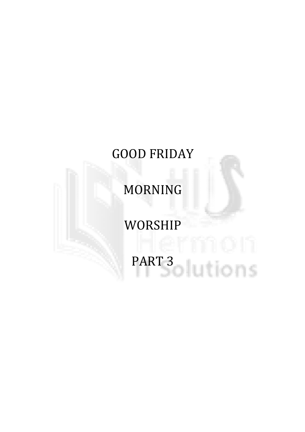# GOOD FRIDAY

MORNING

# WORSHIP

PART 3 NOVEMBER 1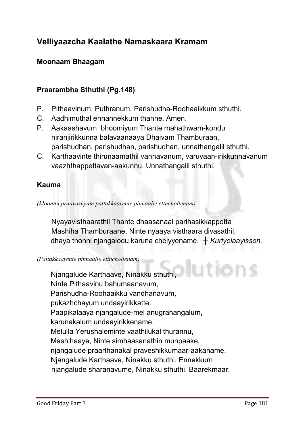# Velliyaazcha Kaalathe Namaskaara Kramam

# Moonaam Bhaagam

# Praarambha Sthuthi (Pg.148)

- **P. Pithaavinum, Puthranum, Parishudha-Roohaaikkum sthuthi.**
- **C. Aadhimuthal ennannekkum thanne. Amen.**
- **P. Aakaashavum bhoomiyum Thante mahathwam-kondu niranjirikkunna balavaanaaya Dhaivam Thamburaan, parishudhan, parishudhan, parishudhan, unnathangalil sthuthi.**
- **C. Karthaavinte thirunaamathil vannavanum, varuvaan-irikkunnavanum vaazhthappettavan-aakunnu. Unnathangalil sthuthi.**

# Kauma

#### *(Moonnu praavashyam pattakkaarente pinnaalle ettuchollenam)*

**Nyayavisthaarathil Thante dhaasanaal parihasikkappetta Mashiha Thamburaane, Ninte nyaaya visthaara divasathil, dhaya thonni njangalodu karuna cheiyyename.** *┼ Kuriyelaayisson.*

#### *(Pattakkaarente pinnaalle ettuchollenam)*

utions **Njangalude Karthaave, Ninakku sthuthi, Ninte Pithaavinu bahumaanavum, Parishudha-Roohaaikku vandhanavum, pukazhchayum undaayirikkatte. Paapikalaaya njangalude-mel anugrahangalum, karunakalum undaayirikkename. Melulla Yerushaleminte vaathilukal thurannu, Mashihaaye, Ninte simhaasanathin munpaake, njangalude praarthanakal praveshikkumaar-aakaname. Njangalude Karthaave, Ninakku sthuthi. Ennekkum njangalude sharanavume, Ninakku sthuthi. Baarekmaar.**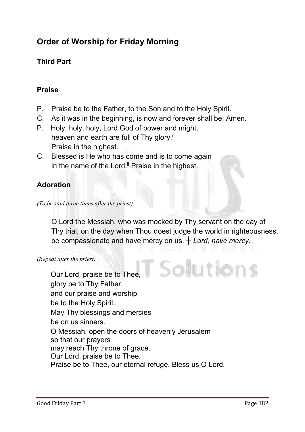# Order of Worship for Friday Morning

# Third Part

# Praise

- **P. Praise be to the Father, to the Son and to the Holy Spirit.**
- **C. As it was in the beginning, is now and forever shall be. Amen.**
- **P. Holy, holy, holy, Lord God of power and might, heaven and earth are full of Thy glory.i Praise in the highest.**
- **C. Blessed is He who has come and is to come again**  in the name of the Lord.<sup>ii</sup> Praise in the highest.

# Adoration

**O Lord the Messiah, who was mocked by Thy servant on the day of Thy trial, on the day when Thou doest judge the world in righteousness, be compassionate and have mercy on us. ┼** *Lord, have mercy***.**

*(Repeat after the priest)*

Solutions **Our Lord, praise be to Thee, glory be to Thy Father, and our praise and worship be to the Holy Spirit. May Thy blessings and mercies be on us sinners. O Messiah, open the doors of heavenly Jerusalem so that our prayers may reach Thy throne of grace. Our Lord, praise be to Thee. Praise be to Thee, our eternal refuge. Bless us O Lord.**

*<sup>(</sup>To be said three times after the priest)*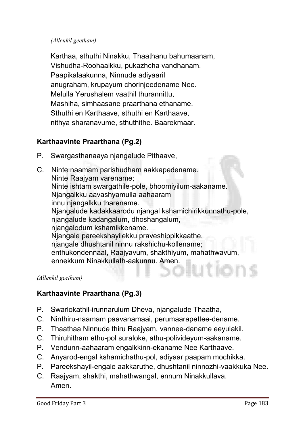#### *(Allenkil geetham)*

**Karthaa, sthuthi Ninakku, Thaathanu bahumaanam, Vishudha-Roohaaikku, pukazhcha vandhanam. Paapikalaakunna, Ninnude adiyaaril anugraham, krupayum chorinjeedename Nee. Melulla Yerushalem vaathil thurannittu, Mashiha, simhaasane praarthana ethaname. Sthuthi en Karthaave, sthuthi en Karthaave, nithya sharanavume, sthuthithe. Baarekmaar.**

# Karthaavinte Praarthana (Pg.2)

- **P. Swargasthanaaya njangalude Pithaave,**
- **C. Ninte naamam parishudham aakkapedename. Ninte Raajyam varename; Ninte ishtam swargathile-pole, bhoomiyilum-aakaname. Njangalkku aavashyamulla aahaaram innu njangalkku tharename. Njangalude kadakkaarodu njangal kshamichirikkunnathu-pole, njangalude kadangalum, dhoshangalum, njangalodum kshamikkename. Njangale pareekshayilekku praveshippikkaathe, njangale dhushtanil ninnu rakshichu-kollename; enthukondennaal, Raajyavum, shakthiyum, mahathwavum, ennekkum Ninakkullath-aakunnu. Amen.**

#### *(Allenkil geetham)*

# Karthaavinte Praarthana (Pg.3)

- **P. Swarlokathil-irunnarulum Dheva, njangalude Thaatha,**
- **C. Ninthiru-naamam paavanamaai, perumaarapettee-dename.**
- **P. Thaathaa Ninnude thiru Raajyam, vannee-daname eeyulakil.**
- **C. Thiruhitham ethu-pol suraloke, athu-polivideyum-aakaname.**
- **P. Vendunn-aahaaram engalkkinn-ekaname Nee Karthaave.**
- **C. Anyarod-engal kshamichathu-pol, adiyaar paapam mochikka.**
- **P. Pareekshayil-engale aakkaruthe, dhushtanil ninnozhi-vaakkuka Nee.**
- **C. Raajyam, shakthi, mahathwangal, ennum Ninakkullava. Amen.**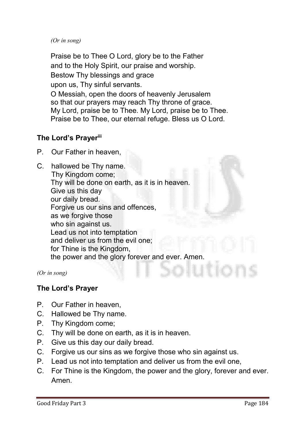*(Or in song)* 

**Praise be to Thee O Lord, glory be to the Father and to the Holy Spirit, our praise and worship. Bestow Thy blessings and grace upon us, Thy sinful servants. O Messiah, open the doors of heavenly Jerusalem so that our prayers may reach Thy throne of grace. My Lord, praise be to Thee. My Lord, praise be to Thee. Praise be to Thee, our eternal refuge. Bless us O Lord.**

# The Lord's Prayeriii

- **P. Our Father in heaven,**
- **C. hallowed be Thy name. Thy Kingdom come; Thy will be done on earth, as it is in heaven. Give us this day our daily bread. Forgive us our sins and offences, as we forgive those who sin against us. Lead us not into temptation and deliver us from the evil one; for Thine is the Kingdom, the power and the glory forever and ever. Amen.**

*(Or in song)*

# The Lord's Prayer

- **P. Our Father in heaven,**
- **C. Hallowed be Thy name.**
- **P. Thy Kingdom come;**
- **C. Thy will be done on earth, as it is in heaven.**
- **P. Give us this day our daily bread.**
- **C. Forgive us our sins as we forgive those who sin against us.**
- **P. Lead us not into temptation and deliver us from the evil one,**
- **C. For Thine is the Kingdom, the power and the glory, forever and ever. Amen.**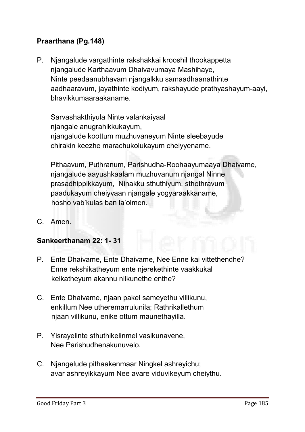# Praarthana (Pg.148)

**P. Njangalude vargathinte rakshakkai krooshil thookappetta njangalude Karthaavum Dhaivavumaya Mashihaye, Ninte peedaanubhavam njangalkku samaadhaanathinte aadhaaravum, jayathinte kodiyum, rakshayude prathyashayum-aayi, bhavikkumaaraakaname.** 

**Sarvashakthiyula Ninte valankaiyaal njangale anugrahikkukayum, njangalude koottum muzhuvaneyum Ninte sleebayude chirakin keezhe marachukolukayum cheiyyename.** 

**Pithaavum, Puthranum, Parishudha-Roohaayumaaya Dhaivame, njangalude aayushkaalam muzhuvanum njangal Ninne prasadhippikkayum, Ninakku sthuthiyum, sthothravum paadukayum cheiyvaan njangale yogyaraakkaname, hosho vab'kulas ban la'olmen.**

**C. Amen.**

# Sankeerthanam 22: 1- 31

- **P. Ente Dhaivame, Ente Dhaivame, Nee Enne kai vittethendhe? Enne rekshikatheyum ente njerekethinte vaakkukal kelkatheyum akannu nilkunethe enthe?**
- **C. Ente Dhaivame, njaan pakel sameyethu villikunu, enkillum Nee utheremarrulunila; Rathrikallethum njaan villikunu, enike ottum maunethayilla.**
- **P. Yisrayelinte sthuthikelinmel vasikunavene, Nee Parishudhenakunuvelo.**
- **C. Njangelude pithaakenmaar Ningkel ashreyichu; avar ashreyikkayum Nee avare viduvikeyum cheiythu.**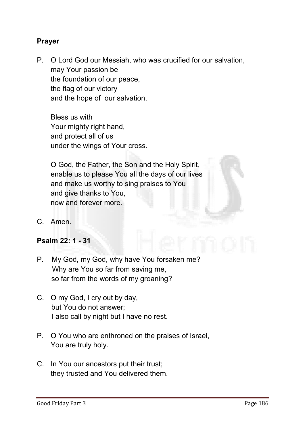# Prayer

**P. O Lord God our Messiah, who was crucified for our salvation, may Your passion be the foundation of our peace, the flag of our victory and the hope of our salvation.** 

**Bless us with Your mighty right hand, and protect all of us under the wings of Your cross.**

**O God, the Father, the Son and the Holy Spirit, enable us to please You all the days of our lives and make us worthy to sing praises to You and give thanks to You, now and forever more.**

**C. Amen.**

# Psalm 22: 1 - 31

- **P. My God, my God, why have You forsaken me? Why are You so far from saving me, so far from the words of my groaning?**
- **C. O my God, I cry out by day, but You do not answer; I also call by night but I have no rest.**
- **P. O You who are enthroned on the praises of Israel, You are truly holy.**
- **C. In You our ancestors put their trust; they trusted and You delivered them.**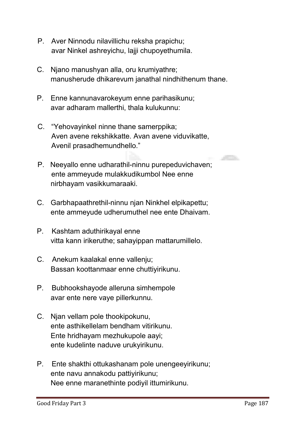- **P. Aver Ninnodu nilavillichu reksha prapichu; avar Ninkel ashreyichu, lajji chupoyethumila.**
- **C. Njano manushyan alla, oru krumiyathre; manusherude dhikarevum janathal nindhithenum thane.**
- **P. Enne kannunavarokeyum enne parihasikunu; avar adharam mallerthi, thala kulukunnu:**
- **C. "Yehovayinkel ninne thane samerppika; Aven avene rekshikkatte. Avan avene viduvikatte, Avenil prasadhemundhello."**
- **P. Neeyallo enne udharathil-ninnu purepeduvichaven; ente ammeyude mulakkudikumbol Nee enne nirbhayam vasikkumaraaki.**
- **C. Garbhapaathrethil-ninnu njan Ninkhel elpikapettu; ente ammeyude udherumuthel nee ente Dhaivam.**
- **P. Kashtam aduthirikayal enne vitta kann irikeruthe; sahayippan mattarumillelo.**
- **C. Anekum kaalakal enne vallenju; Bassan koottanmaar enne chuttiyirikunu.**
- **P. Bubhookshayode alleruna simhempole avar ente nere vaye pillerkunnu.**
- **C. Njan vellam pole thookipokunu, ente asthikellelam bendham vitirikunu. Ente hridhayam mezhukupole aayi; ente kudelinte naduve urukyirikunu.**
- **P. Ente shakthi ottukashanam pole unengeeyirikunu; ente navu annakodu pattiyirikunu; Nee enne maranethinte podiyil ittumirikunu.**

 $\mathcal{L}^{\text{max}}$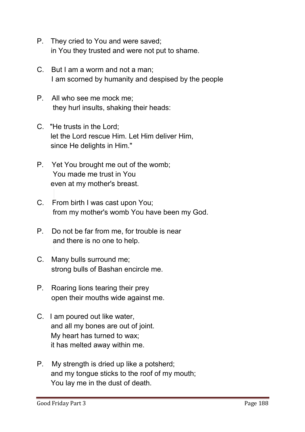- **P. They cried to You and were saved; in You they trusted and were not put to shame.**
- **C. But I am a worm and not a man; I am scorned by humanity and despised by the people**
- **P. All who see me mock me; they hurl insults, shaking their heads:**
- **C. "He trusts in the Lord; let the Lord rescue Him. Let Him deliver Him, since He delights in Him."**
- **P. Yet You brought me out of the womb; You made me trust in You even at my mother's breast.**
- **C. From birth I was cast upon You; from my mother's womb You have been my God.**
- **P. Do not be far from me, for trouble is near and there is no one to help.**
- **C. Many bulls surround me; strong bulls of Bashan encircle me.**
- **P. Roaring lions tearing their prey open their mouths wide against me.**
- **C. I am poured out like water, and all my bones are out of joint. My heart has turned to wax; it has melted away within me.**
- **P. My strength is dried up like a potsherd; and my tongue sticks to the roof of my mouth; You lay me in the dust of death.**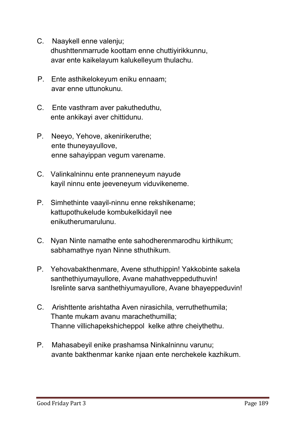- **C. Naaykell enne valenju; dhushttenmarrude koottam enne chuttiyirikkunnu, avar ente kaikelayum kalukelleyum thulachu.**
- **P. Ente asthikelokeyum eniku ennaam; avar enne uttunokunu.**
- **C. Ente vasthram aver pakutheduthu, ente ankikayi aver chittidunu.**
- **P. Neeyo, Yehove, akenirikeruthe; ente thuneyayullove, enne sahayippan vegum varename.**
- **C. Valinkalninnu ente pranneneyum nayude kayil ninnu ente jeeveneyum viduvikeneme.**
- **P. Simhethinte vaayil-ninnu enne rekshikename; kattupothukelude kombukelkidayil nee enikutherumarulunu.**
- **C. Nyan Ninte namathe ente sahodherenmarodhu kirthikum; sabhamathye nyan Ninne sthuthikum.**
- **P. Yehovabakthenmare, Avene sthuthippin! Yakkobinte sakela santhethiyumayullore, Avane mahathveppeduthuvin! Isrelinte sarva santhethiyumayullore, Avane bhayeppeduvin!**
- **C. Arishttente arishtatha Aven nirasichila, verruthethumila; Thante mukam avanu marachethumilla; Thanne villichapekshicheppol kelke athre cheiythethu.**
- **P. Mahasabeyil enike prashamsa Ninkalninnu varunu; avante bakthenmar kanke njaan ente nerchekele kazhikum.**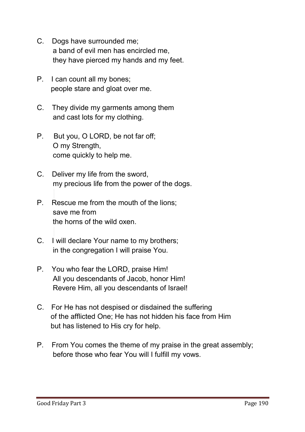- **C. Dogs have surrounded me; a band of evil men has encircled me, they have pierced my hands and my feet.**
- **P. I can count all my bones; people stare and gloat over me.**
- **C. They divide my garments among them and cast lots for my clothing.**
- **P. But you, O LORD, be not far off; O my Strength, come quickly to help me.**
- **C. Deliver my life from the sword, my precious life from the power of the dogs.**
- **P. Rescue me from the mouth of the lions; save me from the horns of the wild oxen.**
- **C. I will declare Your name to my brothers; in the congregation I will praise You.**
- **P. You who fear the LORD, praise Him! All you descendants of Jacob, honor Him! Revere Him, all you descendants of Israel!**
- **C. For He has not despised or disdained the suffering of the afflicted One; He has not hidden his face from Him but has listened to His cry for help.**
- **P. From You comes the theme of my praise in the great assembly; before those who fear You will I fulfill my vows.**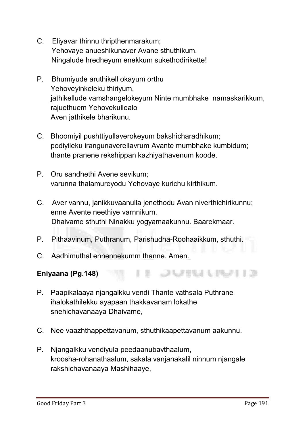- **C. Eliyavar thinnu thripthenmarakum; Yehovaye anueshikunaver Avane sthuthikum. Ningalude hredheyum enekkum sukethodirikette!**
- **P. Bhumiyude aruthikell okayum orthu Yehoveyinkeleku thiriyum, jathikellude vamshangelokeyum Ninte mumbhake namaskarikkum, rajuethuem Yehovekullealo Aven jathikele bharikunu.**
- **C. Bhoomiyil pushttiyullaverokeyum bakshicharadhikum; podiyileku irangunaverellavrum Avante mumbhake kumbidum; thante pranene rekshippan kazhiyathavenum koode.**
- **P. Oru sandhethi Avene sevikum; varunna thalamureyodu Yehovaye kurichu kirthikum.**
- **C. Aver vannu, janikkuvaanulla jenethodu Avan niverthichirikunnu; enne Avente neethiye varnnikum. Dhaivame sthuthi Ninakku yogyamaakunnu. Baarekmaar.**
- **P. Pithaavinum, Puthranum, Parishudha-Roohaaikkum, sthuthi.**
- **C. Aadhimuthal ennennekumm thanne. Amen.**

Eniyaana (Pg.148)

- **P. Paapikalaaya njangalkku vendi Thante vathsala Puthrane ihalokathilekku ayapaan thakkavanam lokathe snehichavanaaya Dhaivame,**
- **C. Nee vaazhthappettavanum, sthuthikaapettavanum aakunnu.**
- **P. Njangalkku vendiyula peedaanubavthaalum, kroosha-rohanathaalum, sakala vanjanakalil ninnum njangale rakshichavanaaya Mashihaaye,**

<u>. De la segunda de la segunda de la segunda de la segunda de la segunda de la segunda de la segunda de la segun</u>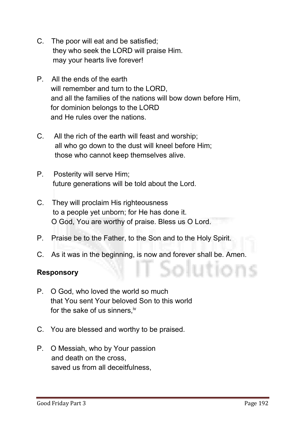- **C. The poor will eat and be satisfied; they who seek the LORD will praise Him. may your hearts live forever!**
- **P. All the ends of the earth will remember and turn to the LORD, and all the families of the nations will bow down before Him, for dominion belongs to the LORD and He rules over the nations.**
- **C. All the rich of the earth will feast and worship; all who go down to the dust will kneel before Him; those who cannot keep themselves alive.**
- **P. Posterity will serve Him; future generations will be told about the Lord.**
- **C. They will proclaim His righteousness to a people yet unborn; for He has done it. O God, You are worthy of praise. Bless us O Lord.**
- **P. Praise be to the Father, to the Son and to the Holy Spirit.**
- **C. As it was in the beginning, is now and forever shall be. Amen.**

# Responsory

- **P. O God, who loved the world so much that You sent Your beloved Son to this world for the sake of us sinners,iv**
- **C. You are blessed and worthy to be praised.**
- **P. O Messiah, who by Your passion and death on the cross, saved us from all deceitfulness,**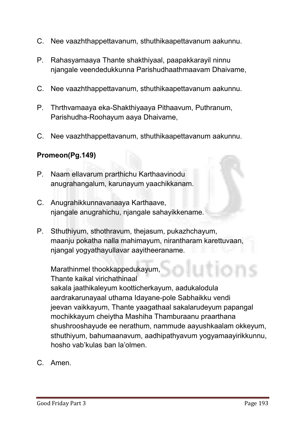- **C. Nee vaazhthappettavanum, sthuthikaapettavanum aakunnu.**
- **P. Rahasyamaaya Thante shakthiyaal, paapakkarayil ninnu njangale veendedukkunna Parishudhaathmaavam Dhaivame,**
- **C. Nee vaazhthappettavanum, sthuthikaapettavanum aakunnu.**
- **P. Thrthvamaaya eka-Shakthiyaaya Pithaavum, Puthranum, Parishudha-Roohayum aaya Dhaivame,**
- **C. Nee vaazhthappettavanum, sthuthikaapettavanum aakunnu.**

# Promeon(Pg.149)

- **P. Naam ellavarum prarthichu Karthaavinodu anugrahangalum, karunayum yaachikkanam.**
- **C. Anugrahikkunnavanaaya Karthaave, njangale anugrahichu, njangale sahayikkename.**
- **P. Sthuthiyum, sthothravum, thejasum, pukazhchayum, maanju pokatha nalla mahimayum, nirantharam karettuvaan, njangal yogyathayullavar aayitheeraname.**

**Marathinmel thookkappedukayum, Thante kaikal virichathinaal sakala jaathikaleyum kootticherkayum, aadukalodula aardrakarunayaal uthama Idayane-pole Sabhaikku vendi jeevan vaikkayum, Thante yaagathaal sakalarudeyum papangal mochikkayum cheiytha Mashiha Thamburaanu praarthana shushrooshayude ee nerathum, nammude aayushkaalam okkeyum, sthuthiyum, bahumaanavum, aadhipathyavum yogyamaayirikkunnu, hosho vab'kulas ban la'olmen.**

**C. Amen.**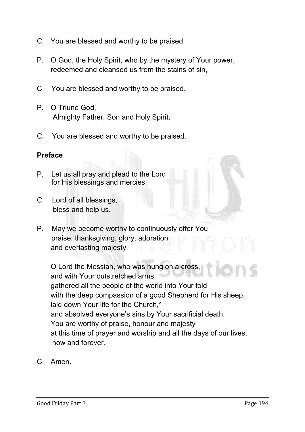- **C. You are blessed and worthy to be praised.**
- **P. O God, the Holy Spirit, who by the mystery of Your power, redeemed and cleansed us from the stains of sin,**
- **C. You are blessed and worthy to be praised.**
- **P. O Triune God, Almighty Father, Son and Holy Spirit,**
- **C. You are blessed and worthy to be praised.**

## Preface

- **P. Let us all pray and plead to the Lord for His blessings and mercies.**
- **C. Lord of all blessings, bless and help us.**
- **P. May we become worthy to continuously offer You praise, thanksgiving, glory, adoration and everlasting majesty.**

**O Lord the Messiah, who was hung on a cross, and with Your outstretched arms, gathered all the people of the world into Your fold with the deep compassion of a good Shepherd for His sheep,** laid down Your life for the Church,<sup>v</sup>  **and absolved everyone's sins by Your sacrificial death, You are worthy of praise, honour and majesty at this time of prayer and worship and all the days of our lives, now and forever.**

**C. Amen.**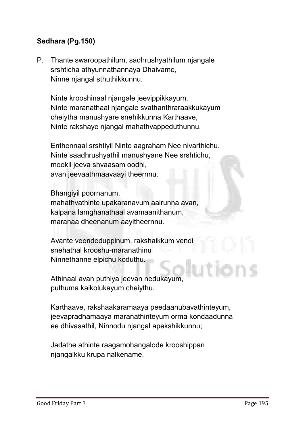# Sedhara (Pg.150)

**P. Thante swaroopathilum, sadhrushyathilum njangale srshticha athyunnathannaya Dhaivame, Ninne njangal sthuthikkunnu.** 

**Ninte krooshinaal njangale jeevippikkayum, Ninte maranathaal njangale svathanthraraakkukayum cheiytha manushyare snehikkunna Karthaave, Ninte rakshaye njangal mahathvappeduthunnu.** 

**Enthennaal srshtiyil Ninte aagraham Nee nivarthichu. Ninte saadhrushyathil manushyane Nee srshtichu, mookil jeeva shvaasam oodhi, avan jeevaathmaavaayi theernnu.** 

**Bhangiyil poornanum, mahathvathinte upakaranavum aairunna avan, kalpana lamghanathaal avamaanithanum, maranaa dheenanum aayitheernnu.** 

**Avante veendeduppinum, rakshaikkum vendi snehathal krooshu-maranathinu Ninnethanne elpichu koduthu.** 

**Athinaal avan puthiya jeevan nedukayum, puthuma kaikolukayum cheiythu.**

**Karthaave, rakshaakaramaaya peedaanubavathinteyum, jeevapradhamaaya maranathinteyum orma kondaadunna ee dhivasathil, Ninnodu njangal apekshikkunnu;**

**Jadathe athinte raagamohangalode krooshippan njangalkku krupa nalkename.**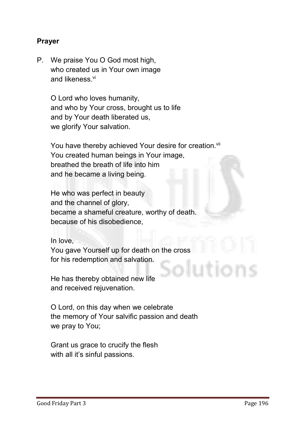# Prayer

**P. We praise You O God most high, who created us in Your own image and likeness.vi**

> **O Lord who loves humanity, and who by Your cross, brought us to life and by Your death liberated us, we glorify Your salvation.**

You have thereby achieved Your desire for creation.<sup>vii</sup> **You created human beings in Your image, breathed the breath of life into him and he became a living being.** 

**He who was perfect in beauty and the channel of glory, became a shameful creature, worthy of death. because of his disobedience,**

**In love,** 

**You gave Yourself up for death on the cross for his redemption and salvation.** 

**He has thereby obtained new life and received rejuvenation.**

**O Lord, on this day when we celebrate the memory of Your salvific passion and death we pray to You;**

**Grant us grace to crucify the flesh with all it's sinful passions.**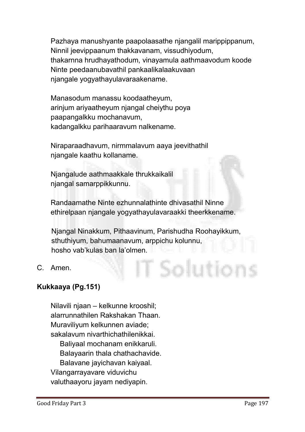**Pazhaya manushyante paapolaasathe njangalil marippippanum, Ninnil jeevippaanum thakkavanam, vissudhiyodum, thakarnna hrudhayathodum, vinayamula aathmaavodum koode Ninte peedaanubavathil pankaalikalaakuvaan njangale yogyathayulavaraakename.**

**Manasodum manassu koodaatheyum, arinjum ariyaatheyum njangal cheiythu poya paapangalkku mochanavum, kadangalkku parihaaravum nalkename.** 

**Niraparaadhavum, nirmmalavum aaya jeevithathil njangale kaathu kollaname.** 

**Njangalude aathmaakkale thrukkaikalil njangal samarppikkunnu.**

**Randaamathe Ninte ezhunnalathinte dhivasathil Ninne ethirelpaan njangale yogyathayulavaraakki theerkkename.** 

**Njangal Ninakkum, Pithaavinum, Parishudha Roohayikkum, sthuthiyum, bahumaanavum, arppichu kolunnu, hosho vab'kulas ban la'olmen.**

T Solution

**C. Amen.**

# Kukkaaya (Pg.151)

**Nilavili njaan – kelkunne krooshil; alarrunnathilen Rakshakan Thaan. Muraviliyum kelkunnen aviade; sakalavum nivarthichathilenikkai. Baliyaal mochanam enikkaruli. Balayaarin thala chathachavide. Balavane jayichavan kaiyaal. Vilangarrayavare viduvichu valuthaayoru jayam nediyapin.**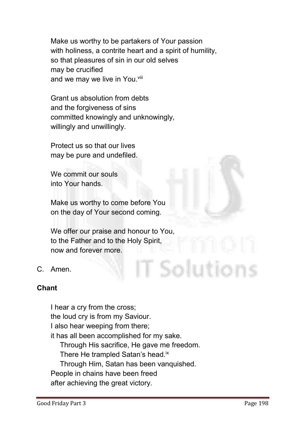**Make us worthy to be partakers of Your passion with holiness, a contrite heart and a spirit of humility, so that pleasures of sin in our old selves may be crucified and we may we live in You. viii**

**Grant us absolution from debts and the forgiveness of sins committed knowingly and unknowingly, willingly and unwillingly.** 

**Protect us so that our lives may be pure and undefiled.** 

**We commit our souls into Your hands.**

**Make us worthy to come before You on the day of Your second coming.**

**We offer our praise and honour to You, to the Father and to the Holy Spirit, now and forever more.**

**C. Amen.**

# Chant

**I hear a cry from the cross; the loud cry is from my Saviour. I also hear weeping from there; it has all been accomplished for my sake. Through His sacrifice, He gave me freedom. There He trampled Satan's head.ix Through Him, Satan has been vanquished. People in chains have been freed after achieving the great victory.**

T Solutions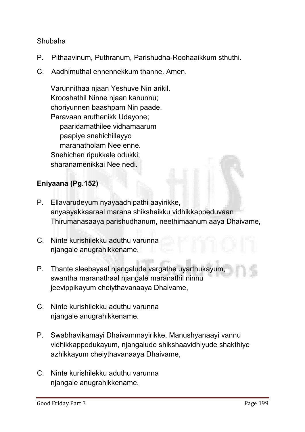## **Shubaha**

- **P. Pithaavinum, Puthranum, Parishudha-Roohaaikkum sthuthi.**
- **C. Aadhimuthal ennennekkum thanne. Amen.**

**Varunnithaa njaan Yeshuve Nin arikil. Krooshathil Ninne njaan kanunnu; choriyunnen baashpam Nin paade. Paravaan aruthenikk Udayone; paaridamathilee vidhamaarum paapiye snehichillayyo maranatholam Nee enne. Snehichen ripukkale odukki; sharanamenikkai Nee nedi.**

# Eniyaana (Pg.152)

- **P. Ellavarudeyum nyayaadhipathi aayirikke, anyaayakkaaraal marana shikshaikku vidhikkappeduvaan Thirumanasaaya parishudhanum, neethimaanum aaya Dhaivame,**
- **C. Ninte kurishilekku aduthu varunna njangale anugrahikkename.**
- **P. Thante sleebayaal njangalude vargathe uyarthukayum, swantha maranathaal njangale maranathil ninnu jeevippikayum cheiythavanaaya Dhaivame,**
- **C. Ninte kurishilekku aduthu varunna njangale anugrahikkename.**
- **P. Swabhavikamayi Dhaivammayirikke, Manushyanaayi vannu vidhikkappedukayum, njangalude shikshaavidhiyude shakthiye azhikkayum cheiythavanaaya Dhaivame,**
- **C. Ninte kurishilekku aduthu varunna njangale anugrahikkename.**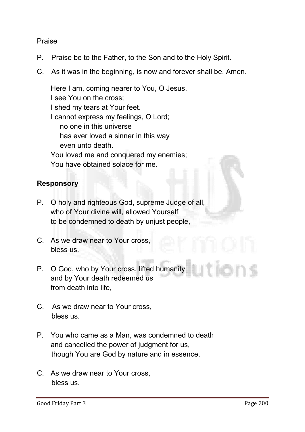#### **Praise**

- **P. Praise be to the Father, to the Son and to the Holy Spirit.**
- **C. As it was in the beginning, is now and forever shall be. Amen.**

**Here I am, coming nearer to You, O Jesus. I see You on the cross; I shed my tears at Your feet. I cannot express my feelings, O Lord; no one in this universe has ever loved a sinner in this way even unto death. You loved me and conquered my enemies; You have obtained solace for me.** 

## Responsory

- **P. O holy and righteous God, supreme Judge of all, who of Your divine will, allowed Yourself to be condemned to death by unjust people,**
- **C. As we draw near to Your cross, bless us.**
- **P. O God, who by Your cross, lifted humanity and by Your death redeemed us from death into life,**
- **C. As we draw near to Your cross, bless us.**
- **P. You who came as a Man, was condemned to death and cancelled the power of judgment for us, though You are God by nature and in essence,**
- **C. As we draw near to Your cross, bless us.**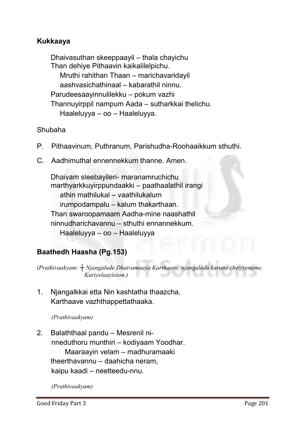# Kukkaaya

**Dhaivasuthan skeeppaayil – thala chayichu Than dehiye Pithaavin kaikalilelpichu. Mruthi rahithan Thaan – marichavaridayil aashvasichathinaal – kabarathil ninnu. Parudeesaayinnulilekku – pokum vazhi Thannuyirppil nampum Aada – sutharkkai thelichu. Haaleluyya – oo – Haaleluyya.**

## **Shubaha**

- **P. Pithaavinum, Puthranum, Parishudha-Roohaaikkum sthuthi.**
- **C. Aadhimuthal ennennekkum thanne. Amen.**

**Dhaivam sleebayileri- maranamruchichu marthyarkkuyirppundaakki – paathaalathil irangi athin mathilukal – vaathilukalum irumpodampalu – kalum thakarthaan. Than swaroopamaam Aadha-mine naashathil ninnudharichavannu – sthuthi ennannekkum. Haaleluyya – oo – Haaleluyya**

# Baathedh Haasha (Pg.153)

*(Prathivaakyam: ┼ Njangalude Dhaivamaaya Karthaave, njangalodu karuna cheiyyename. Kuriyelaayisson.)*

**1. Njangalkkai etta Nin kashtatha thaazcha, Karthaave vazhthappettathaaka.**

*(Prathivaakyam)* 

**2. Balaththaal pandu – Mesrenil ni nneduthoru munthiri – kodiyaam Yoodhar. Maaraayin velam – madhuramaaki theerthavannu – daahicha neram, kaipu kaadi – neetteedu-nnu.**

*(Prathivaakyam)*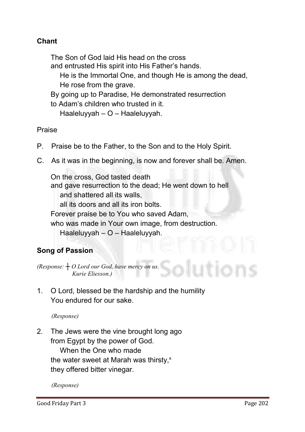# Chant

**The Son of God laid His head on the cross** 

- **and entrusted His spirit into His Father's hands.**
	- **He is the Immortal One, and though He is among the dead, He rose from the grave.**
- **By going up to Paradise, He demonstrated resurrection**
- **to Adam's children who trusted in it.**
	- **Haaleluyyah – O – Haaleluyyah.**

**Praise**

- **P. Praise be to the Father, to the Son and to the Holy Spirit.**
- **C. As it was in the beginning, is now and forever shall be. Amen.**

**On the cross, God tasted death and gave resurrection to the dead; He went down to hell and shattered all its walls, all its doors and all its iron bolts. Forever praise be to You who saved Adam, who was made in Your own image, from destruction. Haaleluyyah – O – Haaleluyyah.** 

# Song of Passion

*(Response: ┼ O Lord our God, have mercy on us. Kurie Eliesson.)*

**1. O Lord, blessed be the hardship and the humility You endured for our sake.** 

*(Response)*

**2. The Jews were the vine brought long ago from Egypt by the power of God. When the One who made** 

the water sweet at Marah was thirsty,<sup>x</sup>

**they offered bitter vinegar.**

*(Response)*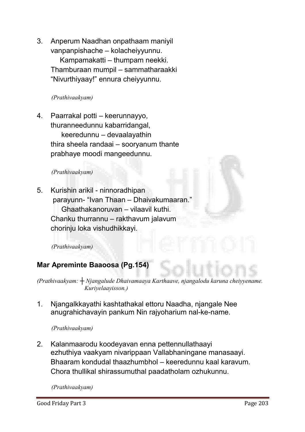**3. Anperum Naadhan onpathaam maniyil vanpanpishache – kolacheiyyunnu. Kampamakatti – thumpam neekki. Thamburaan mumpil – sammatharaakki "Nivurthiyaay!" ennura cheiyyunnu.**

*(Prathivaakyam)* 

**4. Paarrakal potti – keerunnayyo, thuranneedunnu kabarridangal, keeredunnu – devaalayathin thira sheela randaai – sooryanum thante prabhaye moodi mangeedunnu.**

#### *(Prathivaakyam)*

**5. Kurishin arikil - ninnoradhipan parayunn- "Ivan Thaan – Dhaivakumaaran." Ghaathakanoruvan – vilaavil kuthi. Chanku thurrannu – rakthavum jalavum chorinju loka vishudhikkayi.**

*(Prathivaakyam)* 

# Mar Apreminte Baaoosa (Pg.154)

*(Prathivaakyam: ┼ Njangalude Dhaivamaaya Karthaave, njangalodu karuna cheiyyename. Kuriyelaayisson.)*

**1. Njangalkkayathi kashtathakal ettoru Naadha, njangale Nee anugrahichavayin pankum Nin rajyoharium nal-ke-name.**

*(Prathivaakyam)* 

**2. Kalanmaarodu koodeyavan enna pettennullathaayi ezhuthiya vaakyam nivarippaan Vallabhaningane manasaayi. Bhaaram kondudal thaazhumbhol – keeredunnu kaal karavum. Chora thullikal shirassumuthal paadatholam ozhukunnu.**

*(Prathivaakyam)*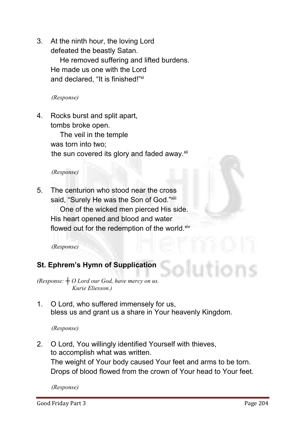**3. At the ninth hour, the loving Lord**

**defeated the beastly Satan. He removed suffering and lifted burdens. He made us one with the Lord and declared, "It is finished!" xi**

*(Response)*

**4. Rocks burst and split apart, tombs broke open.**

> **The veil in the temple was torn into two;** the sun covered its glory and faded away.<sup>xii</sup>

#### *(Response)*

**5. The centurion who stood near the cross** said, "Surely He was the Son of God."<sup>xiii</sup>

**One of the wicked men pierced His side. His heart opened and blood and water** flowed out for the redemption of the world.<sup>xiv</sup>

*(Response)*

# St. Ephrem's Hymn of Supplication

*(Response: ┼ O Lord our God, have mercy on us. Kurie Eliesson.)*

**1. O Lord, who suffered immensely for us, bless us and grant us a share in Your heavenly Kingdom.**

#### *(Response)*

**2. O Lord, You willingly identified Yourself with thieves, to accomplish what was written. The weight of Your body caused Your feet and arms to be torn. Drops of blood flowed from the crown of Your head to Your feet.**

*(Response)*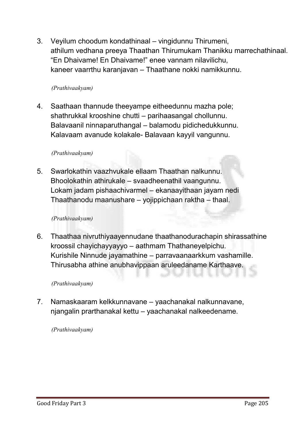**3. Veyilum choodum kondathinaal – vingidunnu Thirumeni, athilum vedhana preeya Thaathan Thirumukam Thanikku marrechathinaal. "En Dhaivame! En Dhaivame!" enee vannam nilavilichu, kaneer vaarrthu karanjavan – Thaathane nokki namikkunnu.**

#### *(Prathivaakyam)*

**4. Saathaan thannude theeyampe eitheedunnu mazha pole; shathrukkal krooshine chutti – parihaasangal chollunnu. Balavaanil ninnaparuthangal – balamodu pidichedukkunnu. Kalavaam avanude kolakale- Balavaan kayyil vangunnu.**

#### *(Prathivaakyam)*

**5. Swarlokathin vaazhvukale ellaam Thaathan nalkunnu. Bhoolokathin athirukale – svaadheenathil vaangunnu. Lokam jadam pishaachivarmel – ekanaayithaan jayam nedi Thaathanodu maanushare – yojippichaan raktha – thaal.** 

#### *(Prathivaakyam)*

**6. Thaathaa nivruthiyaayennudane thaathanodurachapin shirassathine kroossil chayichayyayyo – aathmam Thathaneyelpichu. Kurishile Ninnude jayamathine – parravaanaarkkum vashamille. Thirusabha athine anubhavippaan aruleedaname Karthaave.**

#### *(Prathivaakyam)*

**7. Namaskaaram kelkkunnavane – yaachanakal nalkunnavane, njangalin prarthanakal kettu – yaachanakal nalkeedename.**

#### *(Prathivaakyam)*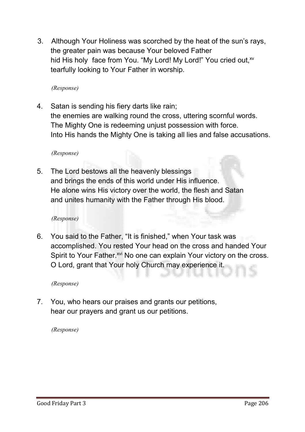**3. Although Your Holiness was scorched by the heat of the sun's rays, the greater pain was because Your beloved Father**  hid His holy face from You. "My Lord! My Lord!" You cried out, xv **tearfully looking to Your Father in worship.**

*(Response)*

**4. Satan is sending his fiery darts like rain; the enemies are walking round the cross, uttering scornful words. The Mighty One is redeeming unjust possession with force. Into His hands the Mighty One is taking all lies and false accusations.**

*(Response)*

**5. The Lord bestows all the heavenly blessings and brings the ends of this world under His influence. He alone wins His victory over the world, the flesh and Satan and unites humanity with the Father through His blood.**

*(Response)*

**6. You said to the Father, "It is finished," when Your task was accomplished. You rested Your head on the cross and handed Your**  Spirit to Your Father.<sup>xvi</sup> No one can explain Your victory on the cross. **O Lord, grant that Your holy Church may experience it.**

*(Response)*

**7. You, who hears our praises and grants our petitions, hear our prayers and grant us our petitions.** 

*(Response)*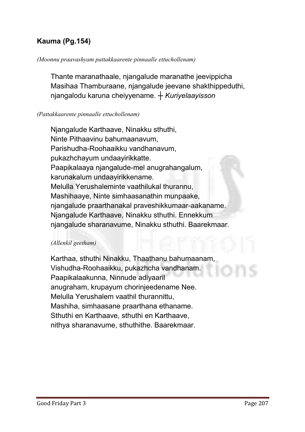# Kauma (Pg.154)

#### *(Moonnu praavashyam pattakkaarente pinnaalle ettuchollenam)*

**Thante maranathaale, njangalude maranathe jeevippicha Masihaa Thamburaane, njangalude jeevane shakthippeduthi, njangalodu karuna cheiyyename.** *┼ Kuriyelaayisson*

#### *(Pattakkaarente pinnaalle ettuchollenam)*

**Njangalude Karthaave, Ninakku sthuthi, Ninte Pithaavinu bahumaanavum, Parishudha-Roohaaikku vandhanavum, pukazhchayum undaayirikkatte. Paapikalaaya njangalude-mel anugrahangalum, karunakalum undaayirikkename. Melulla Yerushaleminte vaathilukal thurannu, Mashihaaye, Ninte simhaasanathin munpaake, njangalude praarthanakal praveshikkumaar-aakaname. Njangalude Karthaave, Ninakku sthuthi. Ennekkum njangalude sharanavume, Ninakku sthuthi. Baarekmaar.** 

#### *(Allenkil geetham)*

**Karthaa, sthuthi Ninakku, Thaathanu bahumaanam, Vishudha-Roohaaikku, pukazhcha vandhanam. Paapikalaakunna, Ninnude adiyaaril anugraham, krupayum chorinjeedename Nee. Melulla Yerushalem vaathil thurannittu, Mashiha, simhaasane praarthana ethaname. Sthuthi en Karthaave, sthuthi en Karthaave, nithya sharanavume, sthuthithe. Baarekmaar.**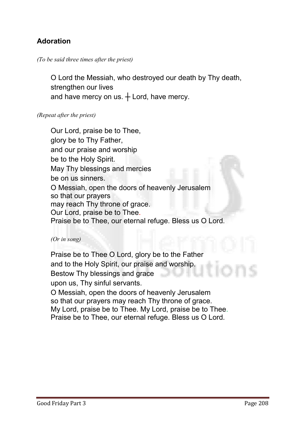# Adoration

#### *(To be said three times after the priest)*

**O Lord the Messiah, who destroyed our death by Thy death, strengthen our lives and have mercy on us. ┼ Lord, have mercy.**

#### *(Repeat after the priest)*

**Our Lord, praise be to Thee, glory be to Thy Father, and our praise and worship be to the Holy Spirit. May Thy blessings and mercies be on us sinners. O Messiah, open the doors of heavenly Jerusalem so that our prayers may reach Thy throne of grace. Our Lord, praise be to Thee. Praise be to Thee, our eternal refuge. Bless us O Lord.**

#### *(Or in song)*

**Praise be to Thee O Lord, glory be to the Father and to the Holy Spirit, our praise and worship. Bestow Thy blessings and grace upon us, Thy sinful servants. O Messiah, open the doors of heavenly Jerusalem so that our prayers may reach Thy throne of grace. My Lord, praise be to Thee. My Lord, praise be to Thee. Praise be to Thee, our eternal refuge. Bless us O Lord.**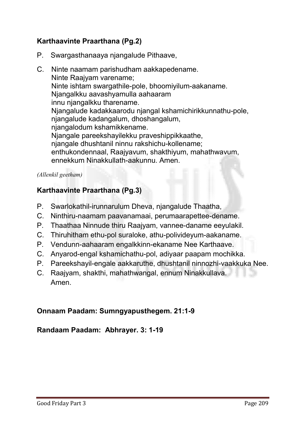# Karthaavinte Praarthana (Pg.2)

- **P. Swargasthanaaya njangalude Pithaave,**
- **C. Ninte naamam parishudham aakkapedename. Ninte Raajyam varename; Ninte ishtam swargathile-pole, bhoomiyilum-aakaname. Njangalkku aavashyamulla aahaaram innu njangalkku tharename. Njangalude kadakkaarodu njangal kshamichirikkunnathu-pole, njangalude kadangalum, dhoshangalum, njangalodum kshamikkename. Njangale pareekshayilekku praveshippikkaathe, njangale dhushtanil ninnu rakshichu-kollename; enthukondennaal, Raajyavum, shakthiyum, mahathwavum, ennekkum Ninakkullath-aakunnu. Amen.**

#### *(Allenkil geetham)*

# Karthaavinte Praarthana (Pg.3)

- **P. Swarlokathil-irunnarulum Dheva, njangalude Thaatha,**
- **C. Ninthiru-naamam paavanamaai, perumaarapettee-dename.**
- **P. Thaathaa Ninnude thiru Raajyam, vannee-daname eeyulakil.**
- **C. Thiruhitham ethu-pol suraloke, athu-polivideyum-aakaname.**
- **P. Vendunn-aahaaram engalkkinn-ekaname Nee Karthaave.**
- **C. Anyarod-engal kshamichathu-pol, adiyaar paapam mochikka.**
- **P. Pareekshayil-engale aakkaruthe, dhushtanil ninnozhi-vaakkuka Nee.**
- **C. Raajyam, shakthi, mahathwangal, ennum Ninakkullava. Amen.**

# Onnaam Paadam: Sumngyapusthegem. 21:1-9

# Randaam Paadam: Abhrayer. 3: 1-19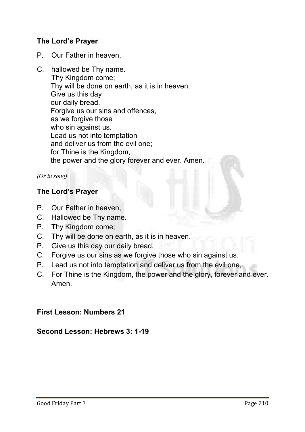# The Lord's Prayer

- **P. Our Father in heaven,**
- **C. hallowed be Thy name. Thy Kingdom come; Thy will be done on earth, as it is in heaven. Give us this day our daily bread. Forgive us our sins and offences, as we forgive those who sin against us. Lead us not into temptation and deliver us from the evil one; for Thine is the Kingdom, the power and the glory forever and ever. Amen.**

*(Or in song)*

# The Lord's Prayer

- **P. Our Father in heaven,**
- **C. Hallowed be Thy name.**
- **P. Thy Kingdom come;**
- **C. Thy will be done on earth, as it is in heaven.**
- **P. Give us this day our daily bread.**
- **C. Forgive us our sins as we forgive those who sin against us.**
- **P. Lead us not into temptation and deliver us from the evil one,**
- **C. For Thine is the Kingdom, the power and the glory, forever and ever. Amen.**

# First Lesson: Numbers 21

#### Second Lesson: Hebrews 3: 1-19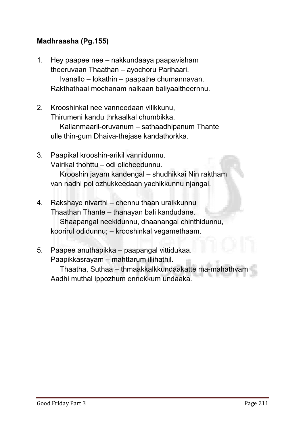# Madhraasha (Pg.155)

- **1. Hey paapee nee – nakkundaaya paapavisham theeruvaan Thaathan – ayochoru Parihaari. Ivanallo – lokathin – paapathe chumannavan. Rakthathaal mochanam nalkaan baliyaaitheernnu.**
- **2. Krooshinkal nee vanneedaan vilikkunu, Thirumeni kandu thrkaalkal chumbikka. Kallanmaaril-oruvanum – sathaadhipanum Thante ulle thin-gum Dhaiva-thejase kandathorkka.**
- **3. Paapikal krooshin-arikil vannidunnu. Vairikal thohttu – odi olicheedunnu. Krooshin jayam kandengal – shudhikkai Nin raktham van nadhi pol ozhukkeedaan yachikkunnu njangal.**
- **4. Rakshaye nivarthi – chennu thaan uraikkunnu Thaathan Thante – thanayan bali kandudane. Shaapangal neekidunnu, dhaanangal chinthidunnu, koorirul odidunnu; – krooshinkal vegamethaam.**
- **5. Paapee anuthapikka – paapangal vittidukaa. Paapikkasrayam – mahttarum illihathil. Thaatha, Suthaa – thmaakkalkkundaakatte ma-mahathvam Aadhi muthal ippozhum ennekkum undaaka.**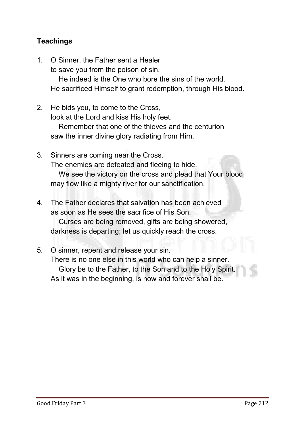# **Teachings**

- **1. O Sinner, the Father sent a Healer to save you from the poison of sin. He indeed is the One who bore the sins of the world. He sacrificed Himself to grant redemption, through His blood.**
- **2. He bids you, to come to the Cross, look at the Lord and kiss His holy feet. Remember that one of the thieves and the centurion saw the inner divine glory radiating from Him.**
- **3. Sinners are coming near the Cross. The enemies are defeated and fleeing to hide. We see the victory on the cross and plead that Your blood may flow like a mighty river for our sanctification.**
- **4. The Father declares that salvation has been achieved as soon as He sees the sacrifice of His Son. Curses are being removed, gifts are being showered, darkness is departing; let us quickly reach the cross.**
- **5. O sinner, repent and release your sin. There is no one else in this world who can help a sinner. Glory be to the Father, to the Son and to the Holy Spirit. As it was in the beginning, is now and forever shall be.**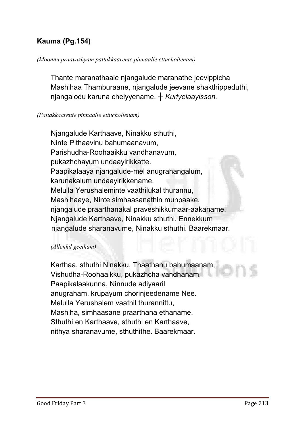# Kauma (Pg.154)

#### *(Moonnu praavashyam pattakkaarente pinnaalle ettuchollenam)*

**Thante maranathaale njangalude maranathe jeevippicha Mashihaa Thamburaane, njangalude jeevane shakthippeduthi, njangalodu karuna cheiyyename.** *┼ Kuriyelaayisson.*

#### *(Pattakkaarente pinnaalle ettuchollenam)*

**Njangalude Karthaave, Ninakku sthuthi, Ninte Pithaavinu bahumaanavum, Parishudha-Roohaaikku vandhanavum, pukazhchayum undaayirikkatte. Paapikalaaya njangalude-mel anugrahangalum, karunakalum undaayirikkename. Melulla Yerushaleminte vaathilukal thurannu, Mashihaaye, Ninte simhaasanathin munpaake, njangalude praarthanakal praveshikkumaar-aakaname. Njangalude Karthaave, Ninakku sthuthi. Ennekkum njangalude sharanavume, Ninakku sthuthi. Baarekmaar.** 

#### *(Allenkil geetham)*

**Karthaa, sthuthi Ninakku, Thaathanu bahumaanam, Vishudha-Roohaaikku, pukazhcha vandhanam. Paapikalaakunna, Ninnude adiyaaril anugraham, krupayum chorinjeedename Nee. Melulla Yerushalem vaathil thurannittu, Mashiha, simhaasane praarthana ethaname. Sthuthi en Karthaave, sthuthi en Karthaave, nithya sharanavume, sthuthithe. Baarekmaar.**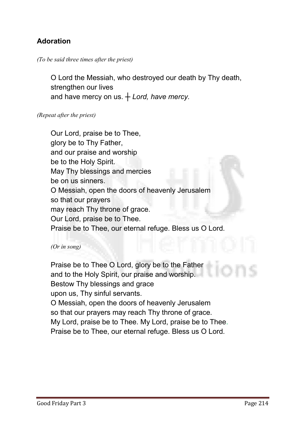# Adoration

#### *(To be said three times after the priest)*

**O Lord the Messiah, who destroyed our death by Thy death, strengthen our lives and have mercy on us. ┼** *Lord, have mercy.*

#### *(Repeat after the priest)*

**Our Lord, praise be to Thee, glory be to Thy Father, and our praise and worship be to the Holy Spirit. May Thy blessings and mercies be on us sinners. O Messiah, open the doors of heavenly Jerusalem so that our prayers may reach Thy throne of grace. Our Lord, praise be to Thee. Praise be to Thee, our eternal refuge. Bless us O Lord.**

#### *(Or in song)*

**Praise be to Thee O Lord, glory be to the Father and to the Holy Spirit, our praise and worship. Bestow Thy blessings and grace upon us, Thy sinful servants. O Messiah, open the doors of heavenly Jerusalem so that our prayers may reach Thy throne of grace. My Lord, praise be to Thee. My Lord, praise be to Thee. Praise be to Thee, our eternal refuge. Bless us O Lord.**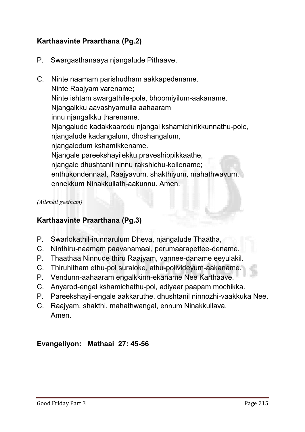# Karthaavinte Praarthana (Pg.2)

- **P. Swargasthanaaya njangalude Pithaave,**
- **C. Ninte naamam parishudham aakkapedename. Ninte Raajyam varename; Ninte ishtam swargathile-pole, bhoomiyilum-aakaname. Njangalkku aavashyamulla aahaaram innu njangalkku tharename. Njangalude kadakkaarodu njangal kshamichirikkunnathu-pole, njangalude kadangalum, dhoshangalum, njangalodum kshamikkename. Njangale pareekshayilekku praveshippikkaathe, njangale dhushtanil ninnu rakshichu-kollename; enthukondennaal, Raajyavum, shakthiyum, mahathwavum, ennekkum Ninakkullath-aakunnu. Amen.**

#### *(Allenkil geetham)*

# Karthaavinte Praarthana (Pg.3)

- **P. Swarlokathil-irunnarulum Dheva, njangalude Thaatha,**
- **C. Ninthiru-naamam paavanamaai, perumaarapettee-dename.**
- **P. Thaathaa Ninnude thiru Raajyam, vannee-daname eeyulakil.**
- **C. Thiruhitham ethu-pol suraloke, athu-polivideyum-aakaname.**
- **P. Vendunn-aahaaram engalkkinn-ekaname Nee Karthaave.**
- **C. Anyarod-engal kshamichathu-pol, adiyaar paapam mochikka.**
- **P. Pareekshayil-engale aakkaruthe, dhushtanil ninnozhi-vaakkuka Nee.**
- **C. Raajyam, shakthi, mahathwangal, ennum Ninakkullava. Amen.**

# Evangeliyon: Mathaai 27: 45-56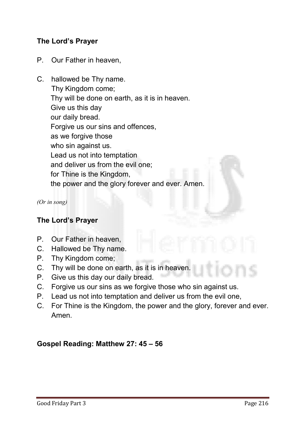# The Lord's Prayer

- **P. Our Father in heaven,**
- **C. hallowed be Thy name. Thy Kingdom come; Thy will be done on earth, as it is in heaven. Give us this day our daily bread. Forgive us our sins and offences, as we forgive those who sin against us. Lead us not into temptation and deliver us from the evil one; for Thine is the Kingdom, the power and the glory forever and ever. Amen.**

*(Or in song)*

# The Lord's Prayer

- **P. Our Father in heaven,**
- **C. Hallowed be Thy name.**
- **P. Thy Kingdom come;**
- **C. Thy will be done on earth, as it is in heaven.**
- **P. Give us this day our daily bread.**
- **C. Forgive us our sins as we forgive those who sin against us.**
- **P. Lead us not into temptation and deliver us from the evil one,**
- **C. For Thine is the Kingdom, the power and the glory, forever and ever. Amen.**

#### Gospel Reading: Matthew 27: 45 – 56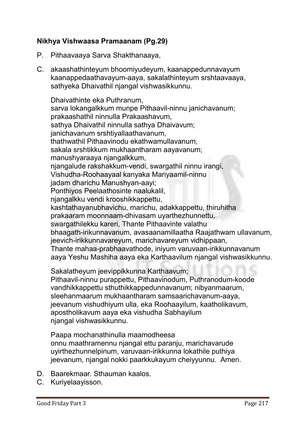# Nikhya Vishwaasa Pramaanam (Pg.29)

- **P. Pithaavaaya Sarva Shakthanaaya,**
- **C. akaashathinteyum bhoomiyudeyum, kaanappedunnavayum kaanappedaathavayum-aaya, sakalathinteyum srshtaavaaya, sathyeka Dhaivathil njangal vishwasikkunnu.**

**Dhaivathinte eka Puthranum, sarva lokangalkkum munpe Pithaavil-ninnu janichavanum; prakaashathil ninnulla Prakaashavum, sathya Dhaivathil ninnulla sathya Dhaivavum; janichavanum srshtiyallaathavanum, thathwathil Pithaavinodu ekathwamullavanum, sakala srshtikkum mukhaantharam aayavanum; manushyaraaya njangalkkum, njangalude rakshakkum-vendi, swargathil ninnu irangi, Vishudha-Roohaayaal kanyaka Mariyaamil-ninnu jadam dharichu Manushyan-aayi; Ponthiyos Peelaathosinte naalukalil, njangalkku vendi krooshikkappettu, kashtathayanubhavichu, marichu, adakkappettu, thiruhitha prakaaram moonnaam-dhivasam uyarthezhunnettu, swargathilekku kareri, Thante Pithaavinte valathu bhaagath-irikunnavanum, avasaanamillaatha Raajathwam ullavanum, jeevich-irikkunnavareyum, marichavareyum vidhippaan, Thante mahaa-prabhaavathode, iniyum varuvaan-irikkunnavanum aaya Yeshu Mashiha aaya eka Karthaavilum njangal vishwasikkunnu.**

**Sakalatheyum jeevippikkunna Karthaavum;**

**Pithaavil-ninnu purappettu, Pithaavinodum, Puthranodum-koode vandhikkappettu sthuthikkappedunnavanum; nibyanmaarum, sleehanmaarum mukhaantharam samsaarichavanum-aaya, jeevanum vishudhiyum ulla, eka Roohaayilum, kaatholikavum, apostholikavum aaya eka vishudha Sabhayilum njangal vishwasikkunnu.**

**Paapa mochanathinulla maamodheesa onnu maathramennu njangal ettu paranju, marichavarude uyirthezhunnelpinum, varuvaan-irikkunna lokathile puthiya jeevanum, njangal nokki paarkkukayum cheiyyunnu. Amen.**

- **D. Baarekmaar. Sthauman kaalos.**
- **C. Kuriyelaayisson.**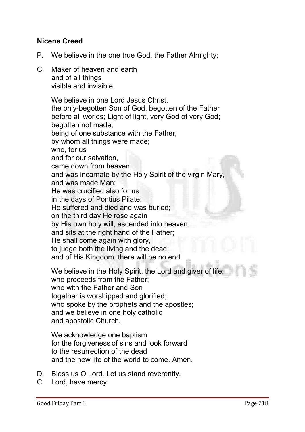# Nicene Creed

- **P. We believe in the one true God, the Father Almighty;**
- **C. Maker of heaven and earth and of all things visible and invisible.**

**We believe in one Lord Jesus Christ, the only-begotten Son of God, begotten of the Father before all worlds; Light of light, very God of very God; begotten not made, being of one substance with the Father, by whom all things were made; who, for us and for our salvation, came down from heaven and was incarnate by the Holy Spirit of the virgin Mary, and was made Man; He was crucified also for us in the days of Pontius Pilate; He suffered and died and was buried; on the third day He rose again by His own holy will, ascended into heaven and sits at the right hand of the Father; He shall come again with glory, to judge both the living and the dead; and of His Kingdom, there will be no end.** 

**We believe in the Holy Spirit, the Lord and giver of life; who proceeds from the Father; who with the Father and Son together is worshipped and glorified; who spoke by the prophets and the apostles; and we believe in one holy catholic and apostolic Church.**

**We acknowledge one baptism for the forgiveness of sins and look forward to the resurrection of the dead and the new life of the world to come. Amen.** 

- **D. Bless us O Lord. Let us stand reverently.**
- **C. Lord, have mercy.**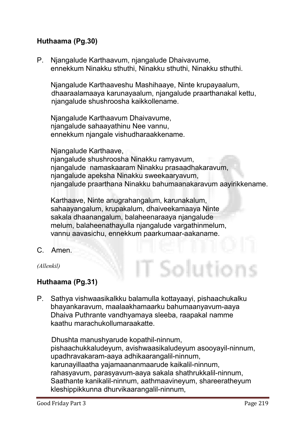# Huthaama (Pg.30)

**P. Njangalude Karthaavum, njangalude Dhaivavume, ennekkum Ninakku sthuthi, Ninakku sthuthi, Ninakku sthuthi.**

**Njangalude Karthaaveshu Mashihaaye, Ninte krupayaalum, dhaaraalamaaya karunayaalum, njangalude praarthanakal kettu, njangalude shushroosha kaikkollename.**

**Njangalude Karthaavum Dhaivavume, njangalude sahaayathinu Nee vannu, ennekkum njangale vishudharaakkename.** 

**Njangalude Karthaave,** 

**njangalude shushroosha Ninakku ramyavum, njangalude namaskaaram Ninakku prasaadhakaravum, njangalude apeksha Ninakku sweekaaryavum, njangalude praarthana Ninakku bahumaanakaravum aayirikkename.** 

T Solution

**Karthaave, Ninte anugrahangalum, karunakalum, sahaayangalum, krupakalum, dhaiveekamaaya Ninte sakala dhaanangalum, balaheenaraaya njangalude melum, balaheenathayulla njangalude vargathinmelum, vannu aavasichu, ennekkum paarkumaar-aakaname.**

**C. Amen.**

*(Allenkil)*

# Huthaama (Pg.31)

**P. Sathya vishwaasikalkku balamulla kottayaayi, pishaachukalku bhayankaravum, maalaakhamaarku bahumaanyavum-aaya Dhaiva Puthrante vandhyamaya sleeba, raapakal namme kaathu marachukollumaraakatte.** 

**Dhushta manushyarude kopathil-ninnum, pishaachukkaludeyum, avishwaasikaludeyum asooyayil-ninnum, upadhravakaram-aaya adhikaarangalil-ninnum, karunayillaatha yajamaananmaarude kaikalil-ninnum, rahasyavum, parasyavum-aaya sakala shathrukkalil-ninnum, Saathante kanikalil-ninnum, aathmaavineyum, shareeratheyum kleshippikkunna dhurvikaarangalil-ninnum,**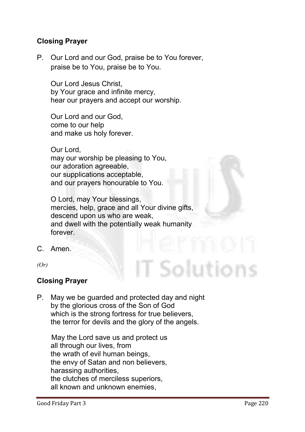# Closing Prayer

**P. Our Lord and our God, praise be to You forever, praise be to You, praise be to You.**

**Our Lord Jesus Christ, by Your grace and infinite mercy, hear our prayers and accept our worship.** 

**Our Lord and our God, come to our help and make us holy forever.** 

**Our Lord, may our worship be pleasing to You, our adoration agreeable, our supplications acceptable, and our prayers honourable to You.** 

**O Lord, may Your blessings, mercies, help, grace and all Your divine gifts, descend upon us who are weak, and dwell with the potentially weak humanity forever.**

**C. Amen.**

*(Or)*

# Closing Prayer

**P. May we be guarded and protected day and night by the glorious cross of the Son of God which is the strong fortress for true believers, the terror for devils and the glory of the angels.** 

**May the Lord save us and protect us all through our lives, from the wrath of evil human beings, the envy of Satan and non believers, harassing authorities, the clutches of merciless superiors, all known and unknown enemies,** 

Solutions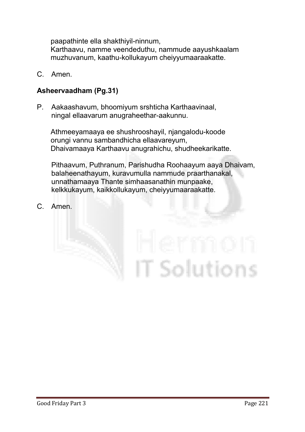**paapathinte ella shakthiyil-ninnum,** 

**Karthaavu, namme veendeduthu, nammude aayushkaalam muzhuvanum, kaathu-kollukayum cheiyyumaaraakatte.**

**C. Amen.**

# Asheervaadham (Pg.31)

**P. Aakaashavum, bhoomiyum srshticha Karthaavinaal, ningal ellaavarum anugraheethar-aakunnu.**

**Athmeeyamaaya ee shushrooshayil, njangalodu-koode orungi vannu sambandhicha ellaavareyum, Dhaivamaaya Karthaavu anugrahichu, shudheekarikatte.**

**Pithaavum, Puthranum, Parishudha Roohaayum aaya Dhaivam, balaheenathayum, kuravumulla nammude praarthanakal, unnathamaaya Thante simhaasanathin munpaake, kelkkukayum, kaikkollukayum, cheiyyumaaraakatte.**

**C. Amen.**

# T Solutions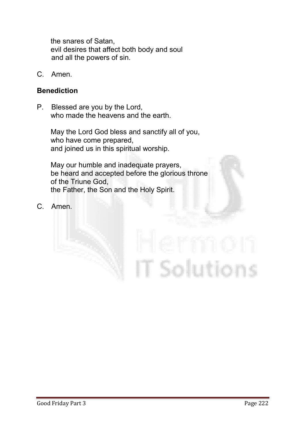**the snares of Satan, evil desires that affect both body and soul and all the powers of sin.**

**C. Amen.**

#### Benediction

**P. Blessed are you by the Lord, who made the heavens and the earth.** 

> **May the Lord God bless and sanctify all of you, who have come prepared, and joined us in this spiritual worship.**

**May our humble and inadequate prayers, be heard and accepted before the glorious throne of the Triune God, the Father, the Son and the Holy Spirit.**

**C. Amen.**

# **T** Solutions